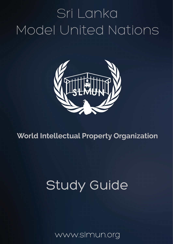# Sri Lanka Model United Nations



### **World Intellectual Property Organization**

## **Study Guide**

www.slmun.org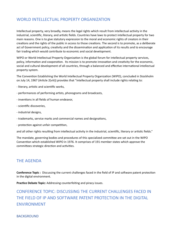#### WORLD INTELLECTUAL PROPERTY ORGANIZATION

Intellectual property, very broadly, means the legal rights which result from intellectual activity in the industrial, scientific, literary, and artistic fields. Countries have laws to protect intellectual property for two main reasons. One is to give statutory expression to the moral and economic rights of creators in their creations and the rights of the public in access to those creations. The second is to promote, as a deliberate act of Government policy, creativity and the dissemination and application of its results and to encourage fair trading which would contribute to economic and social development.

WIPO or World Intellectual Property Organization is the global forum for intellectual property services, policy, information and cooperation. Its mission is to promote innovation and creativity for the economic, social and cultural development of all countries, through a balanced and effective international intellectual property system.

The Convention Establishing the World Intellectual Property Organization (WIPO), concluded in Stockholm on July 14, 1967 (Article 2(viii)) provides that "intellectual property shall include rights relating to:

- literary, artistic and scientific works,
- performances of performing artists, phonograms and broadcasts,
- inventions in all fields of human endeavor,
- scientific discoveries,
- industrial designs,
- trademarks, service marks and commercial names and designations,
- protection against unfair competition,

and all other rights resulting from intellectual activity in the industrial, scientific, literary or artistic fields."

The mandate, governing bodies and procedures of this specialized committee are set out in the WIPO Convention which established WIPO in 1976. It comprises of 191 member states which approve the committees strategic direction and activities.

#### **THE AGENDA**

**Conference Topic**: Discussing the current challenges faced in the field of IP and software patent protection in the digital environment.

**Practice Debate Topic:** Addressing counterfeiting and piracy issues.

CONFERENCE TOPIC: DISCUSSING THE CURRENT CHALLENGES FACED IN THE FIELD OF IP AND SOFTWARE PATENT PROTECTION IN THE DIGITAL ENVIRONMENT 

**BACKGROUND**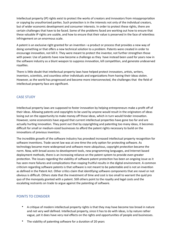Intellectual property (IP) rights exist to protect the works of creators and innovators from misappropriation or copying by unauthorized parties. Such protection is in the interests not only of the individual creators, but of wider economic development and consumer interests. In order to protect these rights, there are certain challenges that have to be faced. Some of the problems faced are working out how to ensure that these valuable IP rights are usable, and how to ensure that their value is preserved in the face of relentless infringement on an enormous scale.

A patent is an exclusive right granted for an invention -a product or process that provides a new way of doing something or that offers a new technical solution to a problem. Patents were created in order to encourage innovation, not kill it. They were meant to protect the inventor, not further strengthen those with power. Use of patents have now become a challenge as they have instead been used for years now in the software industry as a blunt weapon to suppress innovation, kill competition, and generate undeserved rovalties.

There is little doubt that intellectual property laws have helped protect innovators, artists, writers, inventors, scientists, and countless other individuals and organizations from having their ideas stolen. However, as the world has progressed and become more interconnected, the challenges that the field of intellectual property face are significant.

#### **CASE STUDY**

Intellectual property laws are supposed to foster innovation by helping entrepreneurs make a profit off of their ideas. Allowing patents and copyrights to be used by anyone would result in the originators of ideas losing out on the opportunity to make money off those ideas, which in turn would hinder innovation. However, some economists have argued that current intellectual properties have gone too far and are actually hurting innovation. They point out that by copyrighting and patenting too many ideas, it becomes difficult for small or medium-sized businesses to afford the patent rights necessary to build on the innovations of previous inventors.

The incredible growth of the software industry has provoked increased intellectual property recognition for software inventions. Trade secret law was at one time the only option for protecting software. As technology became more widespread and software more ubiquitous, copyright protection became the norm. Now, with broad access to development tools, new programming languages, and Internet based deployment methods, there is an increasing reliance on the patent system to provide even greater protection. The issues regarding the viability of software patent protection has been an ongoing issue as it has seen more failures and complications than reaping fruitful results in the digital environment. A common criticism regarding software patents is that software is not meant to be patentable and is not an invention as defined in the Patent Act. Other critics claim that identifying software components that are novel or not obvious is difficult. Others state that the investment of time and cost is too small to warrant the quid pro quo of the monopoly granted with a patent. Still others point to the royalty and legal costs and the escalating restraints on trade to argue against the patenting of software.

#### POINTS TO CONSIDER

- A critique of modern intellectual property rights is that they may have become too broad in nature and not very well defined. Intellectual property, since it has to do with ideas, is by nature rather vague, yet it does have very real effects on the rights and opportunities of people and businesses.
- The viability of patenting software for a duration of 20 years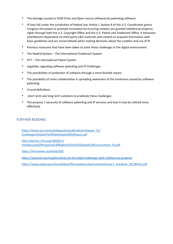- The damage caused to FOSS (Free and Open source software) by patenting software
- IP laws fall under the jurisdiction of federal law. Article I, Section 8 of the U.S. Constitution grants Congress the power to promote innovation by ensuring creators are granted intellectual property rights through both the U.S. Copyright Office and the U.S. Patent and Trademark Office. It behooves practitioners dependent on third-party L&D materials and content to acquaint themselves with basic guidelines and act conservatively when making decisions about the creation and use of IP.
- Previous measures that have been taken to solve these challenges in the digital environment
- The Madrid System The international Trademark System
- PCT The international Patent System
- Legalities regarding software patenting and IP Challenges
- The possibilities of protection of software through a more feasible means
- The possibility of union collaboration in spreading awareness of the hindrance caused by software patenting
- Crucial definitions
- short term and long term solutions to eradicate these challenges
- The purpose / necessity of software patenting and IP services and how it may be utilized more effectively

#### FURTHER READING

https://www.ssjr.com/pubdigassets/publications/lawyer\_31/ Challenges%20with%20Patenting%20Software.pdf

http://eprints.rclis.org/28939/1/ [Intellectual%20Property%20Rights%20in%20Digital%20Environment\\_ISI.pdf](http://eprints.rclis.org/28939/1/Intellectual%2520Property%2520Rights%2520in%2520Digital%2520Environment_ISI.pdf)

https://timreview.ca/article/503

https://www.td.org/insights/what-are-the-legal-challenges-with-intellectual-property

https://www.uspto.gov/sites/default/files/patents/law/comments/sw-f\_mackerel\_20130416.pdf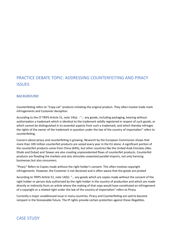#### PRACTICE DEBATE TOPIC: ADDRESSING COUNTERFEITING AND PIRACY **ISSUES**

#### **BACKGROUND**

Counterfeiting refers to "Copy-cat" products imitating the original product. They often involve trade mark infringements and Customer deception.

According to the Cf TRIPS Article 51, note  $14(a)$  : "... any goods, including packaging, bearing without authorization a trademark which is identical to the trademark validly registered in respect of such goods, or which cannot be distinguished in its essential aspects from such a trademark, and which thereby infringes the rights of the owner of the trademark in question under the law of the country of importation" refers to counterfeiting.

Concern about piracy and counterfeiting is growing. Research by the European Commission shows that more than 100 million counterfeit products are seized every year in the EU alone. A significant portion of the counterfeit products come from China (64%), but other countries like the United Arab Emirates (Abu Dhabi and Dubai) and Taiwan are also creating unprecedented flows of counterfeit products. Counterfeit products are flooding the markets and also stimulate unwanted parallel imports, not only harming businesses but also consumers.

"Piracy" Refers to Copies made without the right holder's consent. This often involves copyright infringements. However, the Customer is not deceived and is often aware that the goods are pirated

According to TRIPS Article 51, note 14(b): "... any goods which are copies made without the consent of the right holder or person duly authorized by the right holder in the country of production and which are made directly or indirectly from an article where the making of that copy would have constituted an infringement of a copyright or a related right under the law of the country of importation" refers to Piracy.

Currently a major unaddressed issue in many countries, Piracy and Counterfeiting are said to become rampant in the foreseeable future. The IP rights provide certain protection against these illegalities.

#### **CASE STUDY**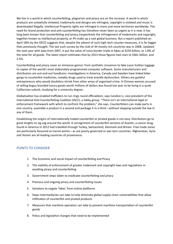We live in a world in which counterfeiting, plagiarism and piracy are on the increase. A world in which products are unlawfully imitated, trademarks and designs are infringed, copyright is violated and music is downloaded illegally. Intellectual Property rights are infringed in more and more territories worldwide. The need for brand protection and anti-counterfeiting has therefore never been as urgent as it is now. It has long been known that counterfeiting and piracy (respectively the infringement of trademarks and copyright, together known as intellectual property, or IP) make up a vast global business. But a report published on April 18th by the OECD suggests that, despite the advent of such high-tech counter-measures, it is far bigger than previously thought. The last such survey by the club of 34 mostly rich countries was in 2008. Updated the next year with data from 2007, it put the value of cross-border trade in fakes at \$250 billion, or 1.8% of the total for all goods. The latest report estimates that by 2013 those figures had risen to \$461 billion, and 2.5%. 

Counterfeiting and piracy cover an immense gamut: from synthetic cinnamon to fake Louis Vuitton luggage to copies of the world's most elaborately programmed computer software. Some manufacturers and distributors are out-and-out hoodlums: investigations in America, Canada and Sweden have linked biker gangs to counterfeit medicines, notably drugs used to treat erectile dysfunction. Others are guileful entrepreneurs who would doubtless shrink from other areas of organised crime. A Chinese woman accused of selling bogus branded luxury goods worth millions of dollars was found last year to be living in a quiet Californian suburb, studying for a university degree.

Globalisation has enabled traffickers to run rings round officialdom, says Candice Li, vice-president of the International Anti-Counterfeiting Coalition (IACC), a lobby group. "There isn't an international legal or enforcement framework with which to confront the problem," she says. Counterfeiters can make parts in one country, assemble a product in a second and package it in a third—without stepping outside the law in any of them.

Establishing the origins of internationally traded counterfeit or pirated goods is not easy. Distributors go to great lengths to zig-zag around the world. A consignment of counterfeit versions of Avastin, a cancer drug, found in America in 2012 had travelled through Turkey, Switzerland, Denmark and Britain. Free-trade zones are particularly favoured as transit points-as are poorly governed or war-torn countries. Afghanistan, Syria and Yemen are all leading countries of provenance.

#### POINTS TO CONSIDER

- 1. The Economic and social impact of counterfeiting and Piracy
- 2. The viability of enforcement of greater trademark and copyright laws and regulations in avoiding piracy and counterfeiting
- 3. Government steps taken to eradicate counterfeiting and piracy
- 4. Previous and ongoing piracy and counterfeiting issues
- 5. Solutions to negate 'fakes' from online platforms
- 6. Steps intermediaries can take to help eliminate global supply chain vulnerabilities that allow infiltration of counterfeit and pirated products
- 7. Measures that maritime operators can take to prevent maritime transportation of counterfeit goods
- 8. Policy and legislative changes that need to be implemented